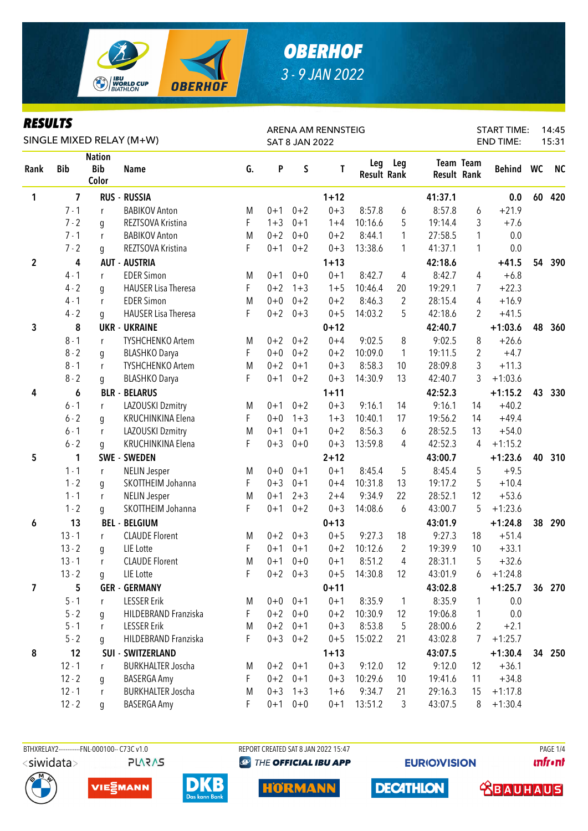

### *RESULTS*

| KEYULIY<br>SINGLE MIXED RELAY (M+W) |                |                                      |                            |    |         | <b>SAT 8 JAN 2022</b> | ARENA AM RENNSTEIG | <b>START TIME:</b><br>14:45<br><b>END TIME:</b><br>15:31 |                |         |                                        |           |                 |           |
|-------------------------------------|----------------|--------------------------------------|----------------------------|----|---------|-----------------------|--------------------|----------------------------------------------------------|----------------|---------|----------------------------------------|-----------|-----------------|-----------|
| Rank                                | <b>Bib</b>     | <b>Nation</b><br><b>Bib</b><br>Color | <b>Name</b>                | G. | P       | S                     | Τ                  | Leg<br><b>Result Rank</b>                                | Leg            |         | <b>Team Team</b><br><b>Result Rank</b> | Behind WC |                 | <b>NC</b> |
| 1                                   | $\overline{7}$ |                                      | <b>RUS - RUSSIA</b>        |    |         |                       | $1 + 12$           |                                                          |                | 41:37.1 |                                        | 0.0       | 60              | 420       |
|                                     | $7 - 1$        | r                                    | <b>BABIKOV Anton</b>       | M  | $0 + 1$ | $0 + 2$               | $0 + 3$            | 8:57.8                                                   | 6              | 8:57.8  | 6                                      | $+21.9$   |                 |           |
|                                     | $7 - 2$        | g                                    | REZTSOVA Kristina          | F  | $1 + 3$ | $0 + 1$               | $1 + 4$            | 10:16.6                                                  | 5              | 19:14.4 | 3                                      | $+7.6$    |                 |           |
|                                     | $7 - 1$        | r                                    | <b>BABIKOV Anton</b>       | M  | $0 + 2$ | $0 + 0$               | $0 + 2$            | 8:44.1                                                   | $\mathbf{1}$   | 27:58.5 | 1                                      | 0.0       |                 |           |
|                                     | $7 - 2$        | g                                    | REZTSOVA Kristina          | F  | $0 + 1$ | $0 + 2$               | $0 + 3$            | 13:38.6                                                  | 1              | 41:37.1 | 1                                      | 0.0       |                 |           |
| $\mathbf{2}$                        | 4              |                                      | <b>AUT - AUSTRIA</b>       |    |         |                       | $1 + 13$           |                                                          |                | 42:18.6 |                                        | $+41.5$   | 54              | 390       |
|                                     | $4 - 1$        | $r_{\rm}$                            | <b>EDER Simon</b>          | M  | $0 + 1$ | $0 + 0$               | $0 + 1$            | 8:42.7                                                   | 4              | 8:42.7  | 4                                      | $+6.8$    |                 |           |
|                                     | $4 - 2$        | g                                    | <b>HAUSER Lisa Theresa</b> | F  | $0 + 2$ | $1 + 3$               | $1 + 5$            | 10:46.4                                                  | 20             | 19:29.1 | 7                                      | $+22.3$   |                 |           |
|                                     | $4 - 1$        | r                                    | <b>EDER Simon</b>          | M  | $0 + 0$ | $0 + 2$               | $0 + 2$            | 8:46.3                                                   | $\overline{2}$ | 28:15.4 | 4                                      | $+16.9$   |                 |           |
|                                     | $4 - 2$        | g                                    | <b>HAUSER Lisa Theresa</b> | F  | $0 + 2$ | $0 + 3$               | $0 + 5$            | 14:03.2                                                  | 5              | 42:18.6 | 2                                      | $+41.5$   |                 |           |
| 3                                   | 8              |                                      | <b>UKR - UKRAINE</b>       |    |         |                       | $0 + 12$           |                                                          |                | 42:40.7 |                                        | $+1:03.6$ | 48              | 360       |
|                                     | $8 - 1$        | r                                    | <b>TYSHCHENKO Artem</b>    | M  | $0 + 2$ | $0 + 2$               | $0 + 4$            | 9:02.5                                                   | 8              | 9:02.5  | 8                                      | $+26.6$   |                 |           |
|                                     | $8 - 2$        | g                                    | <b>BLASHKO Darya</b>       | F  | $0 + 0$ | $0 + 2$               | $0 + 2$            | 10:09.0                                                  | $\mathbf{1}$   | 19:11.5 | $\overline{2}$                         | $+4.7$    |                 |           |
|                                     | $8 - 1$        | r                                    | <b>TYSHCHENKO Artem</b>    | M  | $0 + 2$ | $0 + 1$               | $0 + 3$            | 8:58.3                                                   | 10             | 28:09.8 | 3                                      | $+11.3$   |                 |           |
|                                     | $8 - 2$        | g                                    | <b>BLASHKO Darya</b>       | F  | $0 + 1$ | $0 + 2$               | $0 + 3$            | 14:30.9                                                  | 13             | 42:40.7 | 3                                      | $+1:03.6$ |                 |           |
| 4                                   | 6              |                                      | <b>BLR - BELARUS</b>       |    |         |                       | $1 + 11$           |                                                          |                | 42:52.3 |                                        | $+1:15.2$ | 43              | 330       |
|                                     | $6 - 1$        | r                                    | LAZOUSKI Dzmitry           | M  | $0 + 1$ | $0 + 2$               | $0 + 3$            | 9:16.1                                                   | 14             | 9:16.1  | 14                                     | $+40.2$   |                 |           |
|                                     | $6 - 2$        | g                                    | KRUCHINKINA Elena          | F  | $0 + 0$ | $1 + 3$               | $1 + 3$            | 10:40.1                                                  | 17             | 19:56.2 | 14                                     | $+49.4$   |                 |           |
|                                     | $6 - 1$        | r                                    | LAZOUSKI Dzmitry           | M  | $0 + 1$ | $0 + 1$               | $0 + 2$            | 8:56.3                                                   | 6              | 28:52.5 | 13                                     | $+54.0$   |                 |           |
|                                     | $6 - 2$        | g                                    | KRUCHINKINA Elena          | F  | $0 + 3$ | $0 + 0$               | $0 + 3$            | 13:59.8                                                  | 4              | 42:52.3 | 4                                      | $+1:15.2$ |                 |           |
| 5                                   | 1              |                                      | SWE - SWEDEN               |    |         |                       | $2 + 12$           |                                                          |                | 43:00.7 |                                        | $+1:23.6$ | 40              | 310       |
|                                     | $1 - 1$        | r                                    | <b>NELIN Jesper</b>        | M  | $0 + 0$ | $0 + 1$               | $0 + 1$            | 8:45.4                                                   | 5              | 8:45.4  | 5                                      | $+9.5$    |                 |           |
|                                     | $1 - 2$        | g                                    | SKOTTHEIM Johanna          | F  | $0 + 3$ | $0 + 1$               | $0 + 4$            | 10:31.8                                                  | 13             | 19:17.2 | 5                                      | $+10.4$   |                 |           |
|                                     | $1 - 1$        | r                                    | <b>NELIN Jesper</b>        | M  | $0 + 1$ | $2 + 3$               | $2 + 4$            | 9:34.9                                                   | 22             | 28:52.1 | 12                                     | $+53.6$   |                 |           |
|                                     | $1 - 2$        | g                                    | SKOTTHEIM Johanna          | F  | $0 + 1$ | $0 + 2$               | $0 + 3$            | 14:08.6                                                  | 6              | 43:00.7 | 5                                      | $+1:23.6$ |                 |           |
| 6                                   | 13             |                                      | <b>BEL - BELGIUM</b>       |    |         |                       | $0 + 13$           |                                                          |                | 43:01.9 |                                        | $+1:24.8$ | 38              | 290       |
|                                     | $13 - 1$       | $r_{\rm}$                            | <b>CLAUDE Florent</b>      | M  | $0 + 2$ | $0 + 3$               | $0 + 5$            | 9:27.3                                                   | 18             | 9:27.3  | 18                                     | $+51.4$   |                 |           |
|                                     | $13 - 2$       | q                                    | LIE Lotte                  | F  | $0 + 1$ | $0 + 1$               | $0 + 2$            | 10:12.6                                                  | $\overline{2}$ | 19:39.9 | 10                                     | $+33.1$   |                 |           |
|                                     | $13 - 1$       | r                                    | <b>CLAUDE Florent</b>      | M  | $0 + 1$ | $0 + 0$               | $0 + 1$            | 8:51.2                                                   | 4              | 28:31.1 | 5                                      | $+32.6$   |                 |           |
|                                     | $13 - 2$       | q                                    | LIE Lotte                  | F  |         | $0+2$ 0+3             | $0 + 5$            | 14:30.8                                                  | 12             | 43:01.9 | 6                                      | $+1:24.8$ |                 |           |
| 7                                   | 5              |                                      | <b>GER - GERMANY</b>       |    |         |                       | $0 + 11$           |                                                          |                | 43:02.8 |                                        | $+1:25.7$ | 36 <sub>1</sub> | 270       |
|                                     | $5 - 1$        | r                                    | <b>LESSER Erik</b>         | M  |         | $0+0$ $0+1$           | $0 + 1$            | 8:35.9                                                   | $\mathbf{1}$   | 8:35.9  | 1                                      | 0.0       |                 |           |
|                                     | $5 - 2$        | g                                    | HILDEBRAND Franziska       | F  | $0 + 2$ | $0 + 0$               | $0 + 2$            | 10:30.9                                                  | 12             | 19:06.8 | 1                                      | 0.0       |                 |           |
|                                     | $5 - 1$        | r                                    | <b>LESSER Erik</b>         | M  | $0 + 2$ | $0 + 1$               | $0 + 3$            | 8:53.8                                                   | 5              | 28:00.6 | $\overline{c}$                         | $+2.1$    |                 |           |
|                                     | $5 - 2$        | g                                    | HILDEBRAND Franziska       | F  | $0 + 3$ | $0 + 2$               | $0 + 5$            | 15:02.2                                                  | 21             | 43:02.8 | 7                                      | $+1:25.7$ |                 |           |
| 8                                   | 12             |                                      | <b>SUI - SWITZERLAND</b>   |    |         |                       | $1 + 13$           |                                                          |                | 43:07.5 |                                        | $+1:30.4$ | 34              | 250       |
|                                     | $12 - 1$       | r                                    | <b>BURKHALTER Joscha</b>   | M  | $0 + 2$ | $0 + 1$               | $0 + 3$            | 9:12.0                                                   | 12             | 9:12.0  | 12                                     | $+36.1$   |                 |           |
|                                     | $12 - 2$       | g                                    | BASERGA Amy                | F  | $0 + 2$ | $0 + 1$               | $0 + 3$            | 10:29.6                                                  | 10             | 19:41.6 | 11                                     | $+34.8$   |                 |           |
|                                     | $12 - 1$       | r                                    | <b>BURKHALTER Joscha</b>   | M  | $0 + 3$ | $1 + 3$               | $1 + 6$            | 9:34.7                                                   | 21             | 29:16.3 | 15                                     | $+1:17.8$ |                 |           |
|                                     | $12 - 2$       | g                                    | <b>BASERGA Amy</b>         | F  | $0 + 1$ | $0 + 0$               | $0 + 1$            | 13:51.2                                                  | 3              | 43:07.5 | 8                                      | $+1:30.4$ |                 |           |







**@ THE OFFICIAL IBU APP** 

**HORMANN** 

**EURIO)VISION** 

**DECATHLON** 

**unfront** 

 **<u>CBAUHAUS</u>**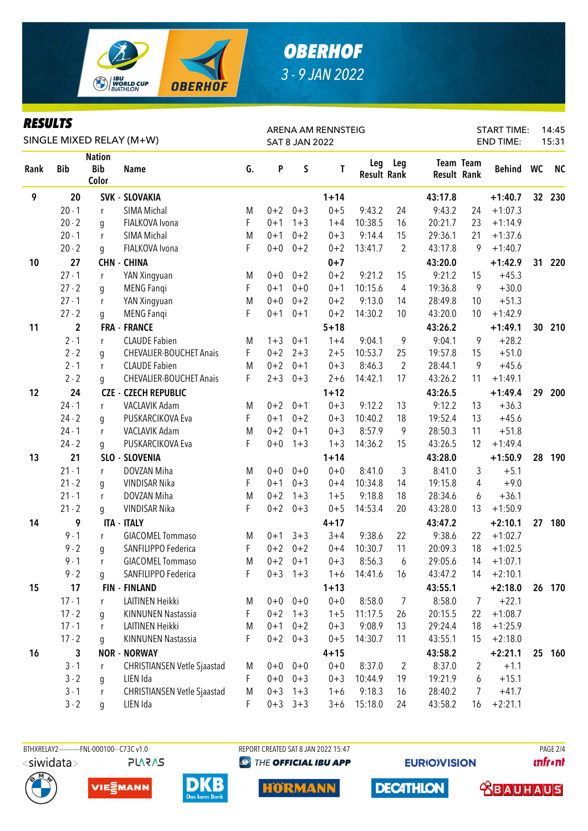

### *RESULTS*

| KEYULIY<br>SINGLE MIXED RELAY (M+W) |             |                                      |                                |    |         |                       | ARENA AM RENNSTEIG |                           | <b>START TIME:</b><br>14:45 |             |                  |                  |    |           |
|-------------------------------------|-------------|--------------------------------------|--------------------------------|----|---------|-----------------------|--------------------|---------------------------|-----------------------------|-------------|------------------|------------------|----|-----------|
|                                     |             |                                      |                                |    |         | <b>SAT 8 JAN 2022</b> |                    |                           |                             |             |                  | <b>END TIME:</b> |    | 15:31     |
| Rank                                | <b>Bib</b>  | <b>Nation</b><br><b>Bib</b><br>Color | <b>Name</b>                    | G. | P       | S                     | T                  | Leg<br><b>Result Rank</b> | <b>Leg</b>                  | Result Rank | <b>Team Team</b> | Behind WC        |    | <b>NC</b> |
| 9                                   | 20          |                                      | <b>SVK - SLOVAKIA</b>          |    |         |                       | $1 + 14$           |                           |                             | 43:17.8     |                  | $+1:40.7$        | 32 | 230       |
|                                     | $20 - 1$    | $r_{\rm}$                            | SIMA Michal                    | M  | $0 + 2$ | $0 + 3$               | $0 + 5$            | 9:43.2                    | 24                          | 9:43.2      | 24               | $+1:07.3$        |    |           |
|                                     | $20 - 2$    | q                                    | FIALKOVA Ivona                 | F  | $0 + 1$ | $1 + 3$               | $1 + 4$            | 10:38.5                   | 16                          | 20:21.7     | 23               | $+1:14.9$        |    |           |
|                                     | $20 - 1$    | r                                    | SIMA Michal                    | M  | $0 + 1$ | $0 + 2$               | $0 + 3$            | 9:14.4                    | 15                          | 29:36.1     | 21               | $+1:37.6$        |    |           |
|                                     | $20 - 2$    | g                                    | FIALKOVA Ivona                 | F  | $0 + 0$ | $0 + 2$               | $0 + 2$            | 13:41.7                   | $\overline{2}$              | 43:17.8     | 9                | $+1:40.7$        |    |           |
| 10                                  | 27          |                                      | <b>CHN - CHINA</b>             |    |         |                       | $0 + 7$            |                           |                             | 43:20.0     |                  | $+1:42.9$        | 31 | 220       |
|                                     | $27 - 1$    | r                                    | YAN Xingyuan                   | M  | $0 + 0$ | $0 + 2$               | $0 + 2$            | 9:21.2                    | 15                          | 9:21.2      | 15               | $+45.3$          |    |           |
|                                     | $27 - 2$    | g                                    | <b>MENG Fangi</b>              | F  | $0 + 1$ | $0 + 0$               | $0 + 1$            | 10:15.6                   | 4                           | 19:36.8     | 9                | $+30.0$          |    |           |
|                                     | $27 - 1$    | r                                    | YAN Xingyuan                   | M  | $0 + 0$ | $0 + 2$               | $0 + 2$            | 9:13.0                    | 14                          | 28:49.8     | 10               | $+51.3$          |    |           |
|                                     | $27 - 2$    | g                                    | <b>MENG Fangi</b>              | F  | $0 + 1$ | $0 + 1$               | $0 + 2$            | 14:30.2                   | 10                          | 43:20.0     | 10               | $+1:42.9$        |    |           |
| 11                                  | $\mathbf 2$ |                                      | <b>FRA - FRANCE</b>            |    |         |                       | $5 + 18$           |                           |                             | 43:26.2     |                  | $+1:49.1$        | 30 | 210       |
|                                     | $2 - 1$     | r                                    | <b>CLAUDE Fabien</b>           | M  | $1 + 3$ | $0 + 1$               | $1 + 4$            | 9:04.1                    | 9                           | 9:04.1      | 9                | $+28.2$          |    |           |
|                                     | $2 - 2$     | q                                    | <b>CHEVALIER-BOUCHET Anais</b> | F  | $0 + 2$ | $2 + 3$               | $2 + 5$            | 10:53.7                   | 25                          | 19:57.8     | 15               | $+51.0$          |    |           |
|                                     | $2 - 1$     | r                                    | <b>CLAUDE Fabien</b>           | M  | $0 + 2$ | $0 + 1$               | $0 + 3$            | 8:46.3                    | $\overline{2}$              | 28:44.1     | 9                | $+45.6$          |    |           |
|                                     | $2 - 2$     | g                                    | <b>CHEVALIER-BOUCHET Anais</b> | F  | $2 + 3$ | $0 + 3$               | $2 + 6$            | 14:42.1                   | 17                          | 43:26.2     | 11               | $+1:49.1$        |    |           |
| 12                                  | 24          |                                      | <b>CZE - CZECH REPUBLIC</b>    |    |         |                       | $1 + 12$           |                           |                             | 43:26.5     |                  | $+1:49.4$        | 29 | 200       |
|                                     | $24 - 1$    | r                                    | VACLAVIK Adam                  | M  | $0 + 2$ | $0 + 1$               | $0 + 3$            | 9:12.2                    | 13                          | 9:12.2      | 13               | $+36.3$          |    |           |
|                                     | $24 - 2$    | q                                    | PUSKARCIKOVA Eva               | F  | $0 + 1$ | $0 + 2$               | $0 + 3$            | 10:40.2                   | 18                          | 19:52.4     | 13               | $+45.6$          |    |           |
|                                     | $24 - 1$    | r                                    | <b>VACLAVIK Adam</b>           | M  | $0 + 2$ | $0 + 1$               | $0 + 3$            | 8:57.9                    | 9                           | 28:50.3     | 11               | $+51.8$          |    |           |
|                                     | $24 - 2$    | q                                    | PUSKARCIKOVA Eva               | F  | $0 + 0$ | $1 + 3$               | $1 + 3$            | 14:36.2                   | 15                          | 43:26.5     | 12               | $+1:49.4$        |    |           |
| 13                                  | 21          |                                      | SLO - SLOVENIA                 |    |         |                       | $1 + 14$           |                           |                             | 43:28.0     |                  | $+1:50.9$        | 28 | 190       |
|                                     | $21 - 1$    | r                                    | DOVZAN Miha                    | M  | $0 + 0$ | $0 + 0$               | $0 + 0$            | 8:41.0                    | 3                           | 8:41.0      | 3                | $+5.1$           |    |           |
|                                     | $21 - 2$    | g                                    | <b>VINDISAR Nika</b>           | F  | $0 + 1$ | $0 + 3$               | $0 + 4$            | 10:34.8                   | 14                          | 19:15.8     | 4                | $+9.0$           |    |           |
|                                     | $21 - 1$    | r                                    | DOVZAN Miha                    | M  | $0 + 2$ | $1 + 3$               | $1 + 5$            | 9:18.8                    | 18                          | 28:34.6     | 6                | $+36.1$          |    |           |
|                                     | $21 - 2$    | g                                    | VINDISAR Nika                  | F  | $0 + 2$ | $0 + 3$               | $0 + 5$            | 14:53.4                   | 20                          | 43:28.0     | 13               | $+1:50.9$        |    |           |
| 14                                  | 9           |                                      | <b>ITA - ITALY</b>             |    |         |                       | $4 + 17$           |                           |                             | 43:47.2     |                  | $+2:10.1$        | 27 | 180       |
|                                     | $9 - 1$     | r                                    | <b>GIACOMEL Tommaso</b>        | M  | $0 + 1$ | $3 + 3$               | $3 + 4$            | 9:38.6                    | 22                          | 9:38.6      | 22               | $+1:02.7$        |    |           |
|                                     | $9 - 2$     | q                                    | SANFILIPPO Federica            | F  | $0 + 2$ | $0 + 2$               | $0 + 4$            | 10:30.7                   | 11                          | 20:09.3     | 18               | $+1:02.5$        |    |           |
|                                     | $9 - 1$     |                                      | <b>GIACOMEL Tommaso</b>        | M  | $0 + 2$ | $0 + 1$               | $0 + 3$            | 8:56.3                    | 6                           | 29:05.6     | 14               | $+1:07.1$        |    |           |
|                                     | $9 - 2$     | g                                    | SANFILIPPO Federica            | F  |         | $0+3$ 1+3             | $1 + 6$            | 14:41.6                   | 16                          | 43:47.2     | 14               | $+2:10.1$        |    |           |
| 15                                  | 17          |                                      | <b>FIN - FINLAND</b>           |    |         |                       | $1 + 13$           |                           |                             | 43:55.1     |                  | $+2:18.0$        |    | 26 170    |
|                                     | $17 - 1$    | r                                    | LAITINEN Heikki                | M  |         | $0+0$ 0+0             | $0 + 0$            | 8:58.0                    | $\overline{7}$              | 8:58.0      | $\overline{7}$   | $+22.1$          |    |           |
|                                     | $17 - 2$    | g                                    | KINNUNEN Nastassia             | F  | $0 + 2$ | $1 + 3$               | $1 + 5$            | 11:17.5                   | 26                          | 20:15.5     | 22               | $+1:08.7$        |    |           |
|                                     | $17 - 1$    | r                                    | LAITINEN Heikki                | M  | $0 + 1$ | $0 + 2$               | $0 + 3$            | 9:08.9                    | 13                          | 29:24.4     | 18               | $+1:25.9$        |    |           |
|                                     | $17 - 2$    | g                                    | KINNUNEN Nastassia             | F  | $0 + 2$ | $0 + 3$               | $0 + 5$            | 14:30.7                   | 11                          | 43:55.1     | 15               | $+2:18.0$        |    |           |
| 16                                  | 3           |                                      | <b>NOR - NORWAY</b>            |    |         |                       | $4 + 15$           |                           |                             | 43:58.2     |                  | $+2:21.1$        | 25 | 160       |
|                                     | $3 - 1$     | r                                    | CHRISTIANSEN Vetle Sjaastad    | Μ  | $0 + 0$ | $0 + 0$               | $0 + 0$            | 8:37.0                    | $\overline{2}$              | 8:37.0      | 2                | $+1.1$           |    |           |
|                                     | $3 - 2$     | g                                    | LIEN Ida                       | F  | $0+0$   | $0 + 3$               | $0 + 3$            | 10:44.9                   | 19                          | 19:21.9     | 6                | $+15.1$          |    |           |
|                                     | $3 - 1$     | r                                    | CHRISTIANSEN Vetle Sjaastad    | M  | $0 + 3$ | $1 + 3$               | $1 + 6$            | 9:18.3                    | 16                          | 28:40.2     | 7                | $+41.7$          |    |           |
|                                     | $3 - 2$     | g                                    | LIEN Ida                       | F  |         | $0+3$ $3+3$           | $3 + 6$            | 15:18.0                   | 24                          | 43:58.2     | 16               | $+2:21.1$        |    |           |

BTHXRELAY2-----------FNL-000100-- C73C v1.0 REPORT CREATED SAT 8 JAN 2022 15:47 REPORT CREATED SAT 8 JAN 2022 15:47 <siwidata>







**@ THE OFFICIAL IBU APP** 

**HORMANN** 

**EURIO)VISION** 

**DECATHLON** 

**unfront** 

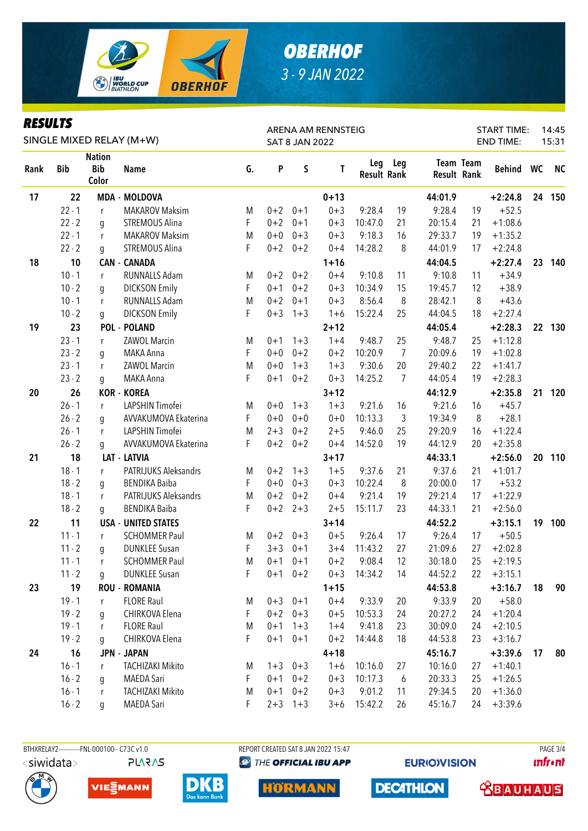

### *RESULTS*

| KEYULIY<br>SINGLE MIXED RELAY (M+W) |            |                                      |                            |    |         |                       | ARENA AM RENNSTEIG | <b>START TIME:</b><br>14:45 |                |                    |                  |           |    |           |
|-------------------------------------|------------|--------------------------------------|----------------------------|----|---------|-----------------------|--------------------|-----------------------------|----------------|--------------------|------------------|-----------|----|-----------|
|                                     |            |                                      |                            |    |         | <b>SAT 8 JAN 2022</b> |                    |                             |                |                    | <b>END TIME:</b> |           |    | 15:31     |
| Rank                                | <b>Bib</b> | <b>Nation</b><br><b>Bib</b><br>Color | <b>Name</b>                | G. | P       | $\sf S$               | T                  | Leg<br><b>Result Rank</b>   | Leg            | <b>Result Rank</b> | Team Team        | Behind WC |    | <b>NC</b> |
| 17                                  | 22         |                                      | <b>MDA - MOLDOVA</b>       |    |         |                       | $0 + 13$           |                             |                | 44:01.9            |                  | $+2:24.8$ | 24 | 150       |
|                                     | $22 - 1$   | $\mathsf{r}$                         | <b>MAKAROV Maksim</b>      | M  | $0 + 2$ | $0 + 1$               | $0 + 3$            | 9:28.4                      | 19             | 9:28.4             | 19               | $+52.5$   |    |           |
|                                     | $22 - 2$   | q                                    | <b>STREMOUS Alina</b>      | F  | $0 + 2$ | $0 + 1$               | $0 + 3$            | 10:47.0                     | 21             | 20:15.4            | 21               | $+1:08.6$ |    |           |
|                                     | $22 - 1$   | r                                    | <b>MAKAROV Maksim</b>      | M  | $0+0$   | $0 + 3$               | $0 + 3$            | 9:18.3                      | 16             | 29:33.7            | 19               | $+1:35.2$ |    |           |
|                                     | $22 - 2$   | g                                    | <b>STREMOUS Alina</b>      | F  | $0 + 2$ | $0 + 2$               | $0 + 4$            | 14:28.2                     | 8              | 44:01.9            | 17               | $+2:24.8$ |    |           |
| 18                                  | 10         |                                      | <b>CAN - CANADA</b>        |    |         |                       | $1 + 16$           |                             |                | 44:04.5            |                  | $+2:27.4$ | 23 | 140       |
|                                     | $10 - 1$   | r                                    | RUNNALLS Adam              | M  | $0 + 2$ | $0 + 2$               | $0 + 4$            | 9:10.8                      | 11             | 9:10.8             | 11               | $+34.9$   |    |           |
|                                     | $10 - 2$   | g                                    | <b>DICKSON Emily</b>       | F  | $0 + 1$ | $0 + 2$               | $0 + 3$            | 10:34.9                     | 15             | 19:45.7            | 12               | $+38.9$   |    |           |
|                                     | $10 - 1$   | r                                    | RUNNALLS Adam              | M  | $0 + 2$ | $0 + 1$               | $0 + 3$            | 8:56.4                      | 8              | 28:42.1            | 8                | $+43.6$   |    |           |
|                                     | $10 - 2$   | g                                    | <b>DICKSON Emily</b>       | F  | $0 + 3$ | $1 + 3$               | $1 + 6$            | 15:22.4                     | 25             | 44:04.5            | 18               | $+2:27.4$ |    |           |
| 19                                  | 23         |                                      | <b>POL - POLAND</b>        |    |         |                       | $2 + 12$           |                             |                | 44:05.4            |                  | $+2:28.3$ | 22 | 130       |
|                                     | $23 - 1$   | r                                    | <b>ZAWOL Marcin</b>        | M  | $0 + 1$ | $1 + 3$               | $1 + 4$            | 9:48.7                      | 25             | 9:48.7             | 25               | $+1:12.8$ |    |           |
|                                     | $23 - 2$   | q                                    | MAKA Anna                  | F  | $0 + 0$ | $0 + 2$               | $0 + 2$            | 10:20.9                     | $\overline{7}$ | 20:09.6            | 19               | $+1:02.8$ |    |           |
|                                     | $23 - 1$   | r                                    | ZAWOL Marcin               | M  | $0+0$   | $1 + 3$               | $1 + 3$            | 9:30.6                      | 20             | 29:40.2            | 22               | $+1:41.7$ |    |           |
|                                     | $23 - 2$   | q                                    | MAKA Anna                  | F  | $0 + 1$ | $0 + 2$               | $0 + 3$            | 14:25.2                     | $\overline{7}$ | 44:05.4            | 19               | $+2:28.3$ |    |           |
| 20                                  | 26         |                                      | <b>KOR - KOREA</b>         |    |         |                       | $3 + 12$           |                             |                | 44:12.9            |                  | $+2:35.8$ | 21 | 120       |
|                                     | $26 - 1$   | r                                    | LAPSHIN Timofei            | M  | $0 + 0$ | $1 + 3$               | $1 + 3$            | 9:21.6                      | 16             | 9:21.6             | 16               | $+45.7$   |    |           |
|                                     | $26 - 2$   | q                                    | AVVAKUMOVA Ekaterina       | F  | $0 + 0$ | $0 + 0$               | $0 + 0$            | 10:13.3                     | 3              | 19:34.9            | 8                | $+28.1$   |    |           |
|                                     | $26 - 1$   | r                                    | LAPSHIN Timofei            | M  | $2 + 3$ | $0 + 2$               | $2 + 5$            | 9:46.0                      | 25             | 29:20.9            | 16               | $+1:22.4$ |    |           |
|                                     | $26 - 2$   | q                                    | AVVAKUMOVA Ekaterina       | F  | $0 + 2$ | $0 + 2$               | $0 + 4$            | 14:52.0                     | 19             | 44:12.9            | 20               | $+2:35.8$ |    |           |
| 21                                  | 18         |                                      | LAT - LATVIA               |    |         |                       | $3 + 17$           |                             |                | 44:33.1            |                  | $+2:56.0$ | 20 | 110       |
|                                     | $18 - 1$   | r                                    | PATRIJUKS Aleksandrs       | M  | $0 + 2$ | $1 + 3$               | $1 + 5$            | 9:37.6                      | 21             | 9:37.6             | 21               | $+1:01.7$ |    |           |
|                                     | $18 - 2$   | g                                    | <b>BENDIKA Baiba</b>       | F  | $0 + 0$ | $0 + 3$               | $0 + 3$            | 10:22.4                     | 8              | 20:00.0            | 17               | $+53.2$   |    |           |
|                                     | $18 - 1$   | r                                    | PATRIJUKS Aleksandrs       | M  | $0 + 2$ | $0 + 2$               | $0 + 4$            | 9:21.4                      | 19             | 29:21.4            | 17               | $+1:22.9$ |    |           |
|                                     | $18 - 2$   | g                                    | <b>BENDIKA Baiba</b>       | F  | $0 + 2$ | $2 + 3$               | $2 + 5$            | 15:11.7                     | 23             | 44:33.1            | 21               | $+2:56.0$ |    |           |
| 22                                  | 11         |                                      | <b>USA - UNITED STATES</b> |    |         |                       | $3 + 14$           |                             |                | 44:52.2            |                  | $+3:15.1$ | 19 | 100       |
|                                     | $11 - 1$   | r                                    | <b>SCHOMMER Paul</b>       | M  | $0 + 2$ | $0 + 3$               | $0 + 5$            | 9:26.4                      | 17             | 9:26.4             | 17               | $+50.5$   |    |           |
|                                     | $11 - 2$   | q                                    | <b>DUNKLEE Susan</b>       | F  | $3 + 3$ | $0 + 1$               | $3 + 4$            | 11:43.2                     | 27             | 21:09.6            | 27               | $+2:02.8$ |    |           |
|                                     | $11 - 1$   |                                      | <b>SCHOMMER Paul</b>       | M  | $0 + 1$ | $0 + 1$               | $0 + 2$            | 9:08.4                      | 12             | 30:18.0            | 25               | $+2:19.5$ |    |           |
|                                     | $11 - 2$   | g                                    | <b>DUNKLEE Susan</b>       | F  |         | $0+1$ $0+2$           | $0 + 3$            | 14:34.2                     | 14             | 44:52.2            | 22               | $+3:15.1$ |    |           |
| 23                                  | 19         |                                      | <b>ROU - ROMANIA</b>       |    |         |                       | $1 + 15$           |                             |                | 44:53.8            |                  | $+3:16.7$ | 18 | 90        |
|                                     | $19 - 1$   | r                                    | <b>FLORE Raul</b>          | M  |         | $0+3$ 0+1             | $0 + 4$            | 9:33.9                      | 20             | 9:33.9             | 20               | $+58.0$   |    |           |
|                                     | $19 - 2$   | g                                    | CHIRKOVA Elena             | F  | $0 + 2$ | $0 + 3$               | $0 + 5$            | 10:53.3                     | 24             | 20:27.2            | 24               | $+1:20.4$ |    |           |
|                                     | $19 - 1$   | r                                    | <b>FLORE Raul</b>          | M  | $0 + 1$ | $1 + 3$               | $1 + 4$            | 9:41.8                      | 23             | 30:09.0            | 24               | $+2:10.5$ |    |           |
|                                     | $19 - 2$   | g                                    | CHIRKOVA Elena             | F  | $0 + 1$ | $0 + 1$               | $0 + 2$            | 14:44.8                     | 18             | 44:53.8            | 23               | $+3:16.7$ |    |           |
| 24                                  | 16         |                                      | <b>JPN - JAPAN</b>         |    |         |                       | $4 + 18$           |                             |                | 45:16.7            |                  | $+3:39.6$ | 17 | 80        |
|                                     | $16 - 1$   | r                                    | <b>TACHIZAKI Mikito</b>    | M  | $1 + 3$ | $0 + 3$               | $1 + 6$            | 10:16.0                     | 27             | 10:16.0            | 27               | $+1:40.1$ |    |           |
|                                     | $16 - 2$   | g                                    | MAEDA Sari                 | F  | $0 + 1$ | $0 + 2$               | $0 + 3$            | 10:17.3                     | 6              | 20:33.3            | 25               | $+1:26.5$ |    |           |
|                                     | $16 - 1$   | r                                    | <b>TACHIZAKI Mikito</b>    | M  | $0 + 1$ | $0 + 2$               | $0 + 3$            | 9:01.2                      | 11             | 29:34.5            | 20               | $+1:36.0$ |    |           |
|                                     | $16 - 2$   | g                                    | MAEDA Sari                 | F  |         | $2+3$ 1+3             | $3 + 6$            | 15:42.2                     | 26             | 45:16.7            | 24               | $+3:39.6$ |    |           |









**@ THE OFFICIAL IBU APP** 

**HORMANN** 

**EURIO)VISION** 

**DECATHLON** 

**unfront**